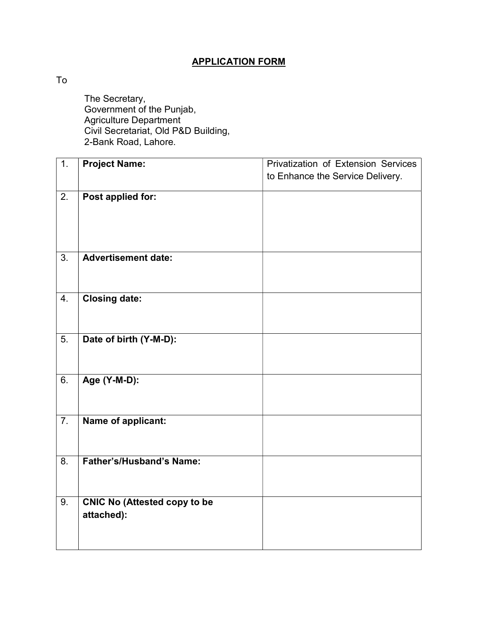## APPLICATION FORM

To

 The Secretary, Government of the Punjab, Agriculture Department Civil Secretariat, Old P&D Building, 2-Bank Road, Lahore.

| $\overline{1}$ . | <b>Project Name:</b>                | Privatization of Extension Services |  |  |  |
|------------------|-------------------------------------|-------------------------------------|--|--|--|
|                  |                                     | to Enhance the Service Delivery.    |  |  |  |
|                  |                                     |                                     |  |  |  |
| 2.               | Post applied for:                   |                                     |  |  |  |
|                  |                                     |                                     |  |  |  |
|                  |                                     |                                     |  |  |  |
|                  |                                     |                                     |  |  |  |
| 3.               | <b>Advertisement date:</b>          |                                     |  |  |  |
|                  |                                     |                                     |  |  |  |
|                  |                                     |                                     |  |  |  |
| 4.               | <b>Closing date:</b>                |                                     |  |  |  |
|                  |                                     |                                     |  |  |  |
|                  |                                     |                                     |  |  |  |
| $\overline{5}$ . | Date of birth (Y-M-D):              |                                     |  |  |  |
|                  |                                     |                                     |  |  |  |
|                  |                                     |                                     |  |  |  |
| 6.               | Age (Y-M-D):                        |                                     |  |  |  |
|                  |                                     |                                     |  |  |  |
|                  |                                     |                                     |  |  |  |
| 7.               | Name of applicant:                  |                                     |  |  |  |
|                  |                                     |                                     |  |  |  |
|                  |                                     |                                     |  |  |  |
| 8.               | <b>Father's/Husband's Name:</b>     |                                     |  |  |  |
|                  |                                     |                                     |  |  |  |
|                  |                                     |                                     |  |  |  |
| 9.               | <b>CNIC No (Attested copy to be</b> |                                     |  |  |  |
|                  | attached):                          |                                     |  |  |  |
|                  |                                     |                                     |  |  |  |
|                  |                                     |                                     |  |  |  |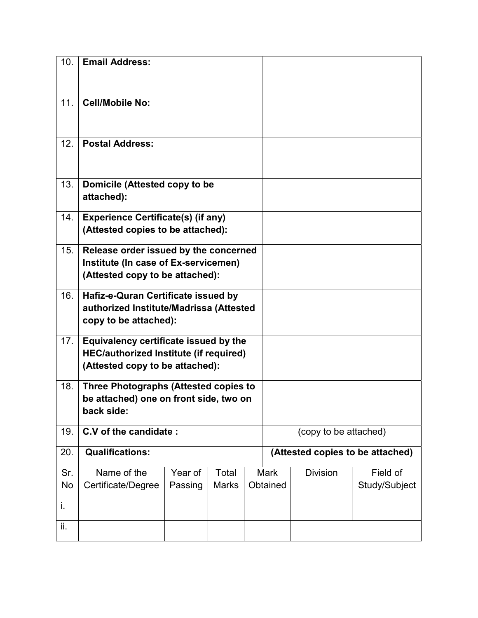| 10.       | <b>Email Address:</b>                                                                                                     |                    |                       |  |                                  |                 |                           |
|-----------|---------------------------------------------------------------------------------------------------------------------------|--------------------|-----------------------|--|----------------------------------|-----------------|---------------------------|
| 11.       | <b>Cell/Mobile No:</b>                                                                                                    |                    |                       |  |                                  |                 |                           |
| 12.       | <b>Postal Address:</b>                                                                                                    |                    |                       |  |                                  |                 |                           |
| 13.       | Domicile (Attested copy to be<br>attached):                                                                               |                    |                       |  |                                  |                 |                           |
| 14.       | <b>Experience Certificate(s) (if any)</b><br>(Attested copies to be attached):                                            |                    |                       |  |                                  |                 |                           |
| 15.       | Release order issued by the concerned<br>Institute (In case of Ex-servicemen)<br>(Attested copy to be attached):          |                    |                       |  |                                  |                 |                           |
| 16.       | Hafiz-e-Quran Certificate issued by<br>authorized Institute/Madrissa (Attested<br>copy to be attached):                   |                    |                       |  |                                  |                 |                           |
| 17.       | Equivalency certificate issued by the<br><b>HEC/authorized Institute (if required)</b><br>(Attested copy to be attached): |                    |                       |  |                                  |                 |                           |
| 18.       | Three Photographs (Attested copies to<br>be attached) one on front side, two on<br>back side:                             |                    |                       |  |                                  |                 |                           |
| 19.       | C.V of the candidate:                                                                                                     |                    |                       |  | (copy to be attached)            |                 |                           |
| 20.       | <b>Qualifications:</b>                                                                                                    |                    |                       |  | (Attested copies to be attached) |                 |                           |
| Sr.<br>No | Name of the<br>Certificate/Degree                                                                                         | Year of<br>Passing | Total<br><b>Marks</b> |  | <b>Mark</b><br>Obtained          | <b>Division</b> | Field of<br>Study/Subject |
| i.        |                                                                                                                           |                    |                       |  |                                  |                 |                           |
| ii.       |                                                                                                                           |                    |                       |  |                                  |                 |                           |